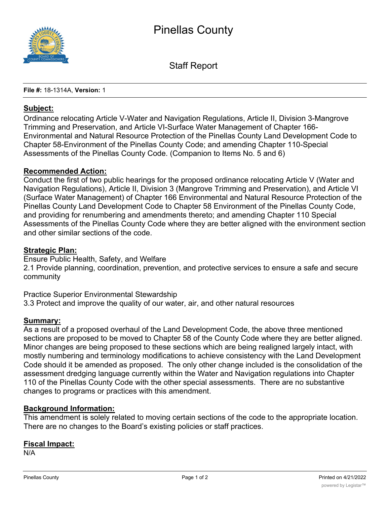

Staff Report

**File #:** 18-1314A, **Version:** 1

#### **Subject:**

Ordinance relocating Article V-Water and Navigation Regulations, Article II, Division 3-Mangrove Trimming and Preservation, and Article VI-Surface Water Management of Chapter 166- Environmental and Natural Resource Protection of the Pinellas County Land Development Code to Chapter 58-Environment of the Pinellas County Code; and amending Chapter 110-Special Assessments of the Pinellas County Code. (Companion to Items No. 5 and 6)

#### **Recommended Action:**

Conduct the first of two public hearings for the proposed ordinance relocating Article V (Water and Navigation Regulations), Article II, Division 3 (Mangrove Trimming and Preservation), and Article VI (Surface Water Management) of Chapter 166 Environmental and Natural Resource Protection of the Pinellas County Land Development Code to Chapter 58 Environment of the Pinellas County Code, and providing for renumbering and amendments thereto; and amending Chapter 110 Special Assessments of the Pinellas County Code where they are better aligned with the environment section and other similar sections of the code.

### **Strategic Plan:**

Ensure Public Health, Safety, and Welfare

2.1 Provide planning, coordination, prevention, and protective services to ensure a safe and secure community

Practice Superior Environmental Stewardship

3.3 Protect and improve the quality of our water, air, and other natural resources

#### **Summary:**

As a result of a proposed overhaul of the Land Development Code, the above three mentioned sections are proposed to be moved to Chapter 58 of the County Code where they are better aligned. Minor changes are being proposed to these sections which are being realigned largely intact, with mostly numbering and terminology modifications to achieve consistency with the Land Development Code should it be amended as proposed. The only other change included is the consolidation of the assessment dredging language currently within the Water and Navigation regulations into Chapter 110 of the Pinellas County Code with the other special assessments. There are no substantive changes to programs or practices with this amendment.

#### **Background Information:**

This amendment is solely related to moving certain sections of the code to the appropriate location. There are no changes to the Board's existing policies or staff practices.

#### **Fiscal Impact:**

N/A